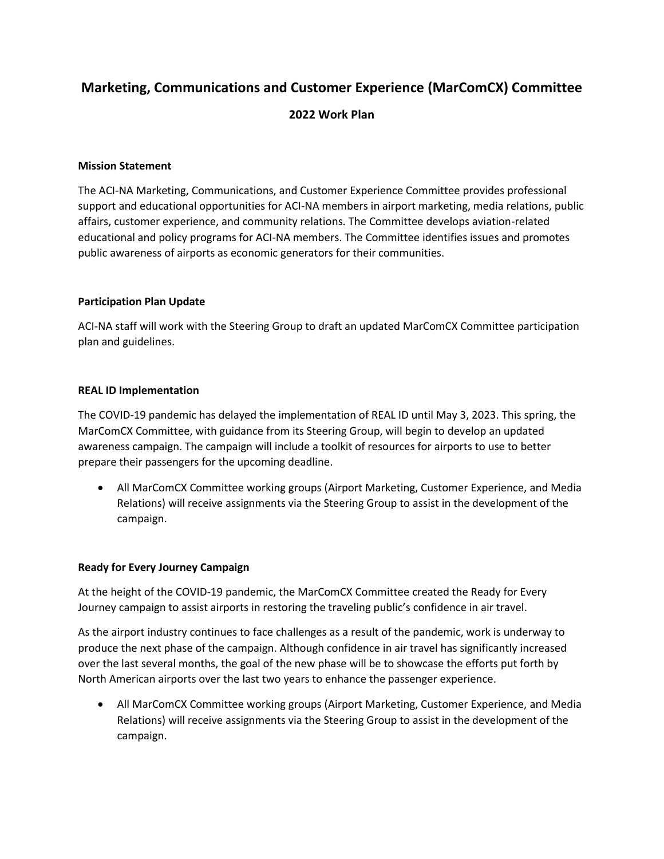# **Marketing, Communications and Customer Experience (MarComCX) Committee**

# **2022 Work Plan**

#### **Mission Statement**

The ACI-NA Marketing, Communications, and Customer Experience Committee provides professional support and educational opportunities for ACI-NA members in airport marketing, media relations, public affairs, customer experience, and community relations. The Committee develops aviation-related educational and policy programs for ACI-NA members. The Committee identifies issues and promotes public awareness of airports as economic generators for their communities.

## **Participation Plan Update**

ACI-NA staff will work with the Steering Group to draft an updated MarComCX Committee participation plan and guidelines.

#### **REAL ID Implementation**

The COVID-19 pandemic has delayed the implementation of REAL ID until May 3, 2023. This spring, the MarComCX Committee, with guidance from its Steering Group, will begin to develop an updated awareness campaign. The campaign will include a toolkit of resources for airports to use to better prepare their passengers for the upcoming deadline.

 All MarComCX Committee working groups (Airport Marketing, Customer Experience, and Media Relations) will receive assignments via the Steering Group to assist in the development of the campaign.

## **Ready for Every Journey Campaign**

At the height of the COVID-19 pandemic, the MarComCX Committee created the Ready for Every Journey campaign to assist airports in restoring the traveling public's confidence in air travel.

As the airport industry continues to face challenges as a result of the pandemic, work is underway to produce the next phase of the campaign. Although confidence in air travel has significantly increased over the last several months, the goal of the new phase will be to showcase the efforts put forth by North American airports over the last two years to enhance the passenger experience.

 All MarComCX Committee working groups (Airport Marketing, Customer Experience, and Media Relations) will receive assignments via the Steering Group to assist in the development of the campaign.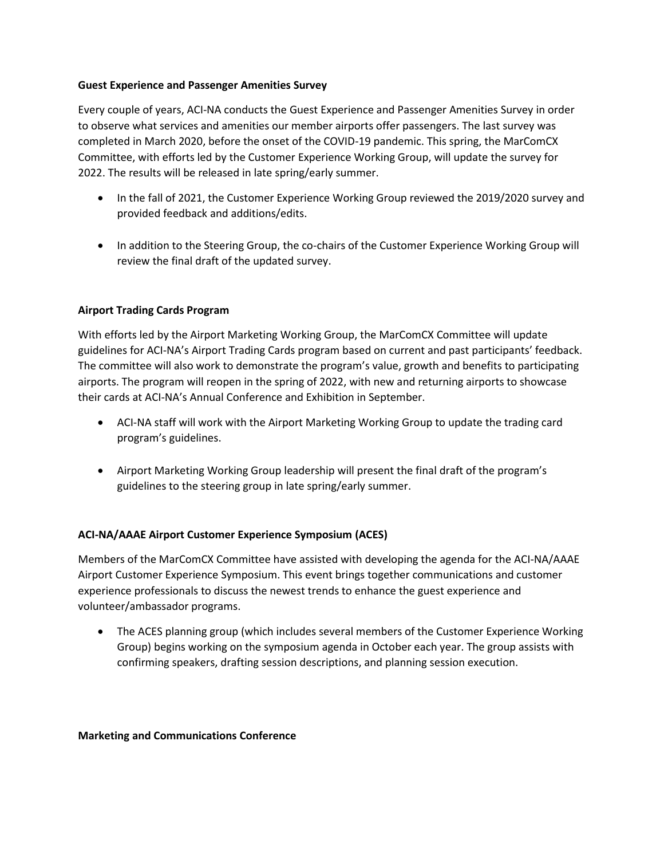## **Guest Experience and Passenger Amenities Survey**

Every couple of years, ACI-NA conducts the Guest Experience and Passenger Amenities Survey in order to observe what services and amenities our member airports offer passengers. The last survey was completed in March 2020, before the onset of the COVID-19 pandemic. This spring, the MarComCX Committee, with efforts led by the Customer Experience Working Group, will update the survey for 2022. The results will be released in late spring/early summer.

- In the fall of 2021, the Customer Experience Working Group reviewed the 2019/2020 survey and provided feedback and additions/edits.
- In addition to the Steering Group, the co-chairs of the Customer Experience Working Group will review the final draft of the updated survey.

## **Airport Trading Cards Program**

With efforts led by the Airport Marketing Working Group, the MarComCX Committee will update guidelines for ACI-NA's Airport Trading Cards program based on current and past participants' feedback. The committee will also work to demonstrate the program's value, growth and benefits to participating airports. The program will reopen in the spring of 2022, with new and returning airports to showcase their cards at ACI-NA's Annual Conference and Exhibition in September.

- ACI-NA staff will work with the Airport Marketing Working Group to update the trading card program's guidelines.
- Airport Marketing Working Group leadership will present the final draft of the program's guidelines to the steering group in late spring/early summer.

## **ACI-NA/AAAE Airport Customer Experience Symposium (ACES)**

Members of the MarComCX Committee have assisted with developing the agenda for the ACI-NA/AAAE Airport Customer Experience Symposium. This event brings together communications and customer experience professionals to discuss the newest trends to enhance the guest experience and volunteer/ambassador programs.

• The ACES planning group (which includes several members of the Customer Experience Working Group) begins working on the symposium agenda in October each year. The group assists with confirming speakers, drafting session descriptions, and planning session execution.

#### **Marketing and Communications Conference**